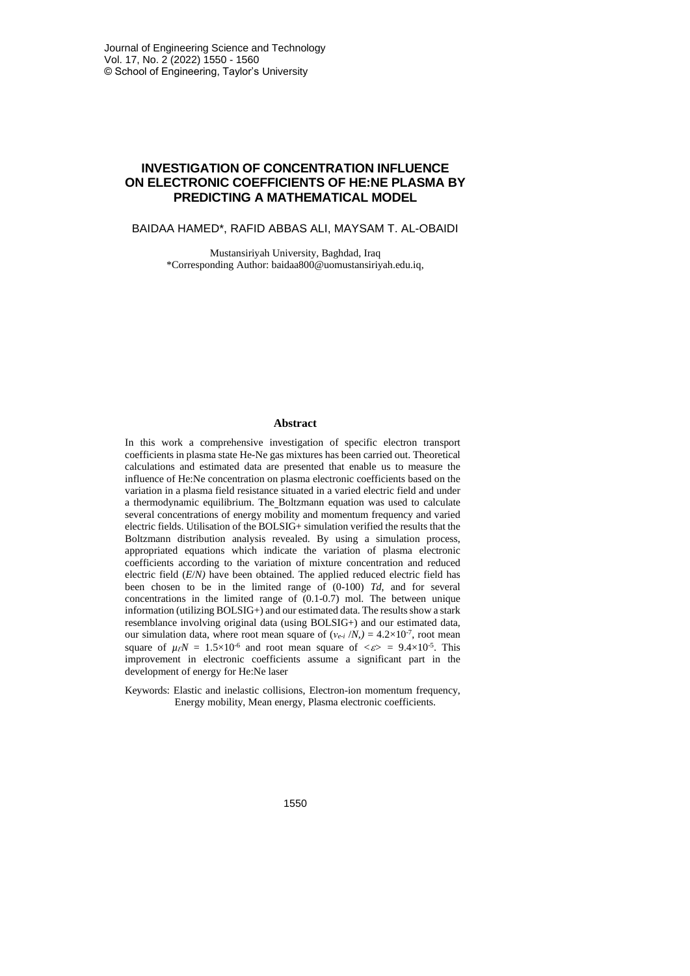# **INVESTIGATION OF CONCENTRATION INFLUENCE ON ELECTRONIC COEFFICIENTS OF HE:NE PLASMA BY PREDICTING A MATHEMATICAL MODEL**

BAIDAA HAMED\*, RAFID ABBAS ALI, MAYSAM T. AL-OBAIDI

Mustansiriyah University, Baghdad, Iraq \*Corresponding Author: baidaa800@uomustansiriyah.edu.iq,

#### **Abstract**

In this work a comprehensive investigation of specific electron transport coefficients in plasma state He-Ne gas mixtures has been carried out. Theoretical calculations and estimated data are presented that enable us to measure the influence of He:Ne concentration on plasma electronic coefficients based on the variation in a plasma field resistance situated in a varied electric field and under a thermodynamic equilibrium. The Boltzmann equation was used to calculate several concentrations of energy mobility and momentum frequency and varied electric fields. Utilisation of the BOLSIG+ simulation verified the results that the Boltzmann distribution analysis revealed. By using a simulation process, appropriated equations which indicate the variation of plasma electronic coefficients according to the variation of mixture concentration and reduced electric field (*E*/*N)* have been obtained. The applied reduced electric field has been chosen to be in the limited range of (0-100) *Td*, and for several concentrations in the limited range of (0.1-0.7) mol. The between unique information (utilizing BOLSIG+) and our estimated data. The results show a stark resemblance involving original data (using BOLSIG+) and our estimated data, our simulation data, where root mean square of  $(v_{e-i} / N) = 4.2 \times 10^{-7}$ , root mean square of  $\mu \in N = 1.5 \times 10^{-6}$  and root mean square of  $\langle \varepsilon \rangle = 9.4 \times 10^{-5}$ . This improvement in electronic coefficients assume a significant part in the development of energy for He:Ne laser

Keywords: Elastic and inelastic collisions, Electron-ion momentum frequency, Energy mobility, Mean energy, Plasma electronic coefficients.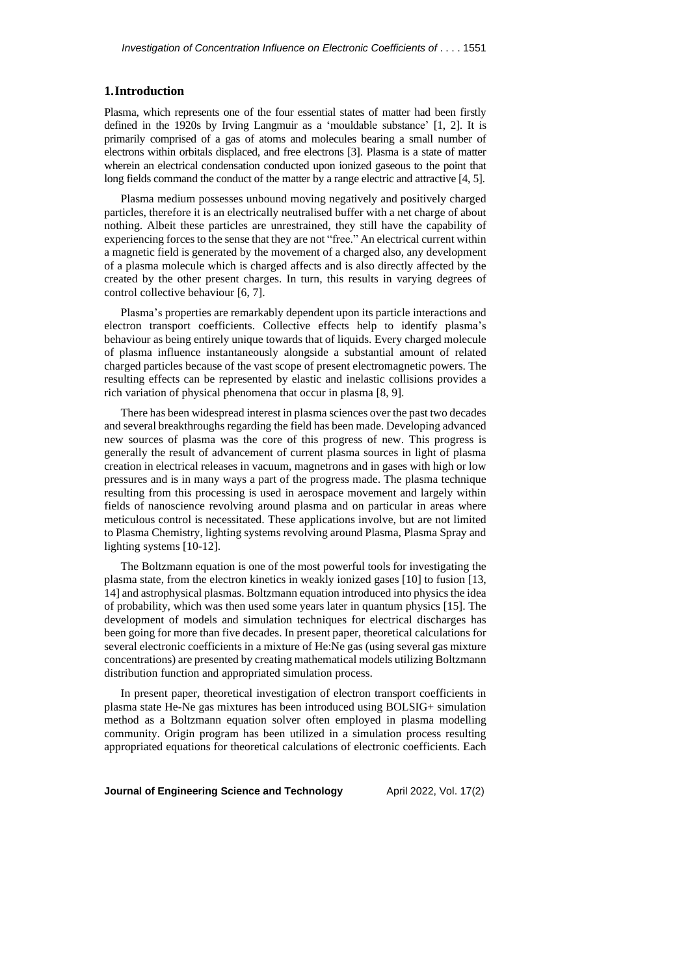## **1.Introduction**

Plasma, which represents one of the four essential states of matter had been firstly defined in the 1920s by Irving Langmuir as a 'mouldable substance' [1, 2]. It is primarily comprised of a gas of atoms and molecules bearing a small number of electrons within orbitals displaced, and free electrons [3]. Plasma is a state of matter wherein an electrical condensation conducted upon ionized gaseous to the point that long fields command the conduct of the matter by a range electric and attractive [4, 5].

Plasma medium possesses unbound moving negatively and positively charged particles, therefore it is an electrically neutralised buffer with a net charge of about nothing. Albeit these particles are unrestrained, they still have the capability of experiencing forces to the sense that they are not "free." An electrical current within a magnetic field is generated by the movement of a charged also, any development of a plasma molecule which is charged affects and is also directly affected by the created by the other present charges. In turn, this results in varying degrees of control collective behaviour [6, 7].

Plasma's properties are remarkably dependent upon its particle interactions and electron transport coefficients. Collective effects help to identify plasma's behaviour as being entirely unique towards that of liquids. Every charged molecule of plasma influence instantaneously alongside a substantial amount of related charged particles because of the vast scope of present electromagnetic powers. The resulting effects can be represented by elastic and inelastic collisions provides a rich variation of physical phenomena that occur in plasma [8, 9].

There has been widespread interest in plasma sciences over the past two decades and several breakthroughs regarding the field has been made. Developing advanced new sources of plasma was the core of this progress of new. This progress is generally the result of advancement of current plasma sources in light of plasma creation in electrical releases in vacuum, magnetrons and in gases with high or low pressures and is in many ways a part of the progress made. The plasma technique resulting from this processing is used in aerospace movement and largely within fields of nanoscience revolving around plasma and on particular in areas where meticulous control is necessitated. These applications involve, but are not limited to Plasma Chemistry, lighting systems revolving around Plasma, Plasma Spray and lighting systems [10-12].

The Boltzmann equation is one of the most powerful tools for investigating the plasma state, from the electron kinetics in weakly ionized gases [10] to fusion [13, 14] and astrophysical plasmas. Boltzmann equation introduced into physicsthe idea of probability, which was then used some years later in quantum physics [15]. The development of models and simulation techniques for electrical discharges has been going for more than five decades. In present paper, theoretical calculations for several electronic coefficients in a mixture of He:Ne gas (using several gas mixture concentrations) are presented by creating mathematical models utilizing Boltzmann distribution function and appropriated simulation process.

In present paper, theoretical investigation of electron transport coefficients in plasma state He-Ne gas mixtures has been introduced using BOLSIG+ simulation method as a Boltzmann equation solver often employed in plasma modelling community. Origin program has been utilized in a simulation process resulting appropriated equations for theoretical calculations of electronic coefficients. Each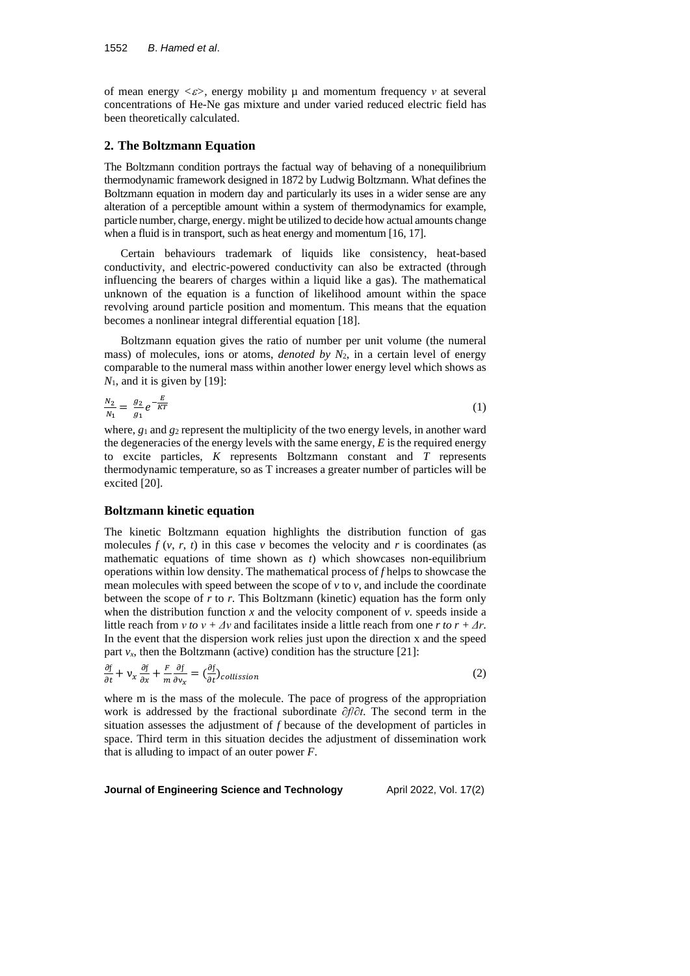of mean energy *<>*, energy mobility µ and momentum frequency *ν* at several concentrations of He-Ne gas mixture and under varied reduced electric field has been theoretically calculated.

## **2. The Boltzmann Equation**

The Boltzmann condition portrays the factual way of behaving of a nonequilibrium thermodynamic framework designed in 1872 by Ludwig Boltzmann. What defines the Boltzmann equation in modern day and particularly its uses in a wider sense are any alteration of a perceptible amount within a system of thermodynamics for example, particle number, charge, energy. might be utilized to decide how actual amounts change when a fluid is in transport, such as heat energy and momentum [16, 17].

Certain behaviours trademark of liquids like consistency, heat-based conductivity, and electric-powered conductivity can also be extracted (through influencing the bearers of charges within a liquid like a gas). The mathematical unknown of the equation is a function of likelihood amount within the space revolving around particle position and momentum. This means that the equation becomes a nonlinear integral differential equation [18].

Boltzmann equation gives the ratio of number per unit volume (the numeral mass) of molecules, ions or atoms, *denoted by N*2, in a certain level of energy comparable to the numeral mass within another lower energy level which shows as  $N_1$ , and it is given by [19]:

$$
\frac{N_2}{N_1} = \frac{g_2}{g_1} e^{-\frac{E}{KT}} \tag{1}
$$

where,  $g_1$  and  $g_2$  represent the multiplicity of the two energy levels, in another ward the degeneracies of the energy levels with the same energy, *E* is the required energy to excite particles, *K* represents Boltzmann constant and *T* represents thermodynamic temperature, so as T increases a greater number of particles will be excited [20].

#### **Boltzmann kinetic equation**

The kinetic Boltzmann equation highlights the distribution function of gas molecules  $f(v, r, t)$  in this case  $v$  becomes the velocity and  $r$  is coordinates (as mathematic equations of time shown as *t*) which showcases non-equilibrium operations within low density. The mathematical process of *f* helps to showcase the mean molecules with speed between the scope of  $\nu$  to  $\nu$ , and include the coordinate between the scope of *r* to *r*. This Boltzmann (kinetic) equation has the form only when the distribution function  $x$  and the velocity component of  $v$ . speeds inside a little reach from *ν to*  $v + \Delta v$  and facilitates inside a little reach from one *r to*  $r + \Delta r$ . In the event that the dispersion work relies just upon the direction x and the speed part  $v_x$ , then the Boltzmann (active) condition has the structure [21]:

$$
\frac{\partial f}{\partial t} + v_x \frac{\partial f}{\partial x} + \frac{F}{m} \frac{\partial f}{\partial v_x} = \left(\frac{\partial f}{\partial t}\right) \text{collision} \tag{2}
$$

where m is the mass of the molecule. The pace of progress of the appropriation work is addressed by the fractional subordinate *∂f*/*∂t*. The second term in the situation assesses the adjustment of *f* because of the development of particles in space. Third term in this situation decides the adjustment of dissemination work that is alluding to impact of an outer power *F*.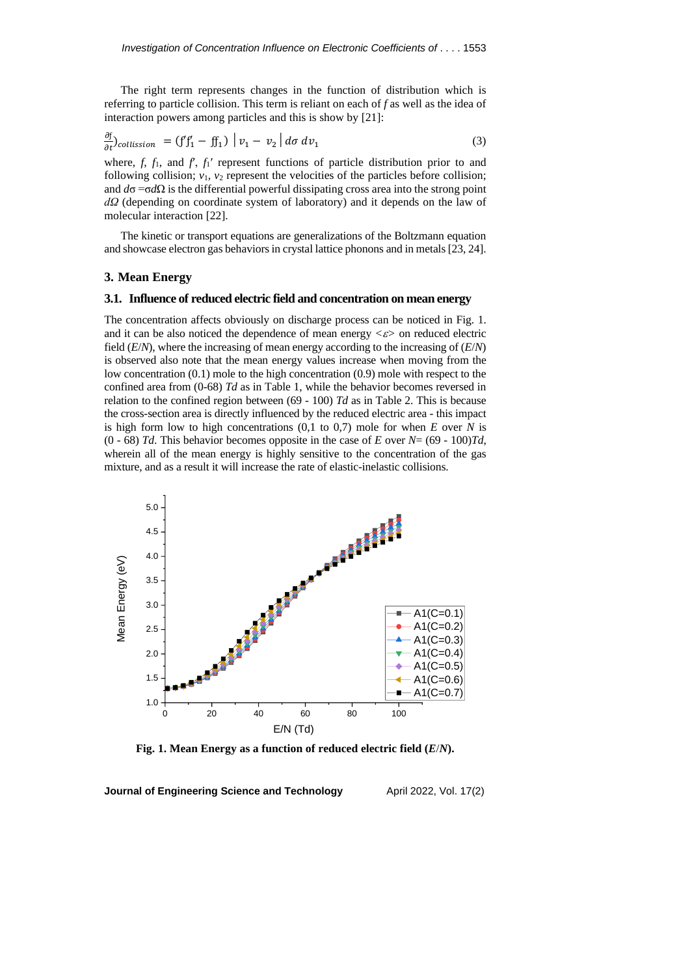The right term represents changes in the function of distribution which is referring to particle collision. This term is reliant on each of *f* as well as the idea of interaction powers among particles and this is show by [21]:

$$
\frac{\partial f}{\partial t}\bigg|_{collission} = (f'f'_1 - ff_1) |v_1 - v_2| d\sigma dv_1 \tag{3}
$$

 $\mathbf{r}$ 

where,  $f$ ,  $f_1$ , and  $f$ ,  $f_1'$  represent functions of particle distribution prior to and following collision;  $v_1$ ,  $v_2$  represent the velocities of the particles before collision; and  $d\sigma = \sigma d\Omega$  is the differential powerful dissipating cross area into the strong point *dΩ* (depending on coordinate system of laboratory) and it depends on the law of molecular interaction [22].

The kinetic or transport equations are generalizations of the Boltzmann equation and showcase electron gas behaviors in crystal lattice phonons and in metals [23, 24].

# **3. Mean Energy**

#### **3.1. Influence of reduced electric field and concentration on mean energy**

The concentration affects obviously on discharge process can be noticed in Fig. 1. and it can be also noticed the dependence of mean energy  $\langle \varepsilon \rangle$  on reduced electric field (*E*/*N*), where the increasing of mean energy according to the increasing of (*E*/*N*) is observed also note that the mean energy values increase when moving from the low concentration (0.1) mole to the high concentration (0.9) mole with respect to the confined area from (0-68) *Td* as in Table 1, while the behavior becomes reversed in relation to the confined region between (69 - 100) *Td* as in Table 2. This is because the cross-section area is directly influenced by the reduced electric area - this impact is high form low to high concentrations (0,1 to 0,7) mole for when *E* over *N* is (0 - 68) *Td*. This behavior becomes opposite in the case of *E* over  $N = (69 - 100)Td$ , wherein all of the mean energy is highly sensitive to the concentration of the gas mixture, and as a result it will increase the rate of elastic-inelastic collisions.

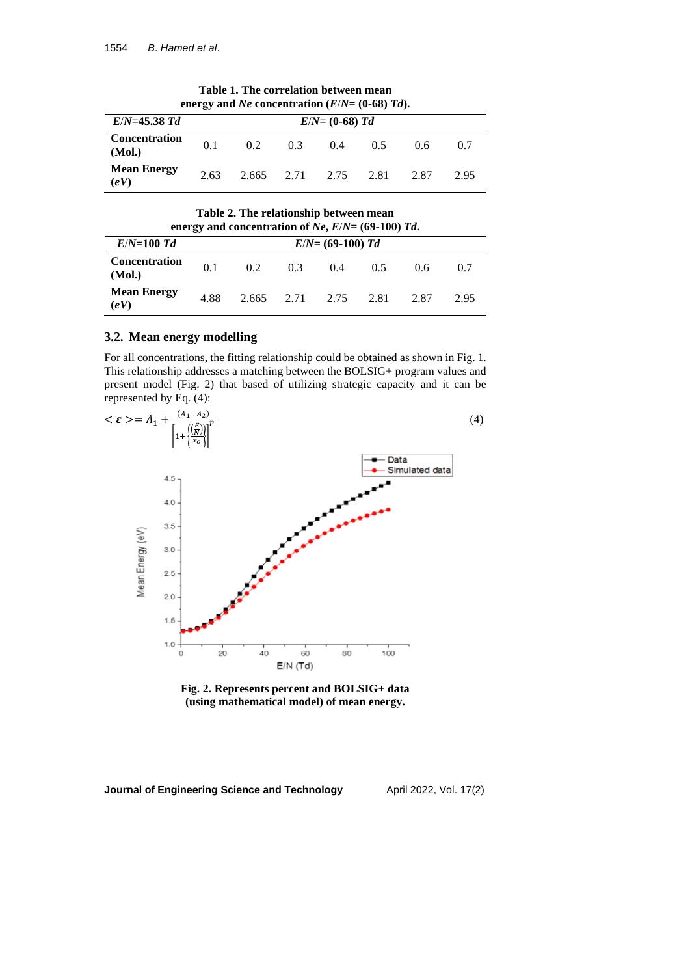|                                                           |                   | chergy what is concentration $(D/1) = (0, 00)$ fwg. |                 |       |      |      |      |
|-----------------------------------------------------------|-------------------|-----------------------------------------------------|-----------------|-------|------|------|------|
| $E/N = 45.38$ Td                                          | $E/N = (0-68) Td$ |                                                     |                 |       |      |      |      |
| <b>Concentration</b><br>(Mol.)                            | 0.1               | 02                                                  | 0.3             | (0.4) | 0.5  | 0.6  | 07   |
| <b>Mean Energy</b><br>$\left(\mathbf{e}\mathbf{V}\right)$ | 2.63              |                                                     | 2.665 2.71 2.75 |       | 2.81 | 2.87 | 2.95 |

**Table 1. The correlation between mean energy** and *Ne* concentration  $(E/N= (0-68) \text{ Td})$ .

**Table 2. The relationship between mean energy** and **concentration** of  $Ne$ ,  $E/N = (69-100)$   $Td$ .

|                                                           |                     | chergy and concentration of $\mathcal{W}(L)$ $\mathcal{W}(L)$ too) fur- |                 |       |      |      |      |
|-----------------------------------------------------------|---------------------|-------------------------------------------------------------------------|-----------------|-------|------|------|------|
| $E/N=100$ Td                                              | $E/N = (69-100)$ Td |                                                                         |                 |       |      |      |      |
| <b>Concentration</b><br>(Mol.)                            | 0.1                 | 02                                                                      | 0.3             | (0.4) | 05   | 0.6  | 0.7  |
| <b>Mean Energy</b><br>$\left(\mathbf{e}\mathbf{V}\right)$ | 4.88                |                                                                         | 2.665 2.71 2.75 |       | 2.81 | 2.87 | 2.95 |

## **3.2. Mean energy modelling**

For all concentrations, the fitting relationship could be obtained as shown in Fig. 1. This relationship addresses a matching between the BOLSIG+ program values and present model (Fig. 2) that based of utilizing strategic capacity and it can be represented by Eq. (4):



**Fig. 2. Represents percent and BOLSIG+ data (using mathematical model) of mean energy.**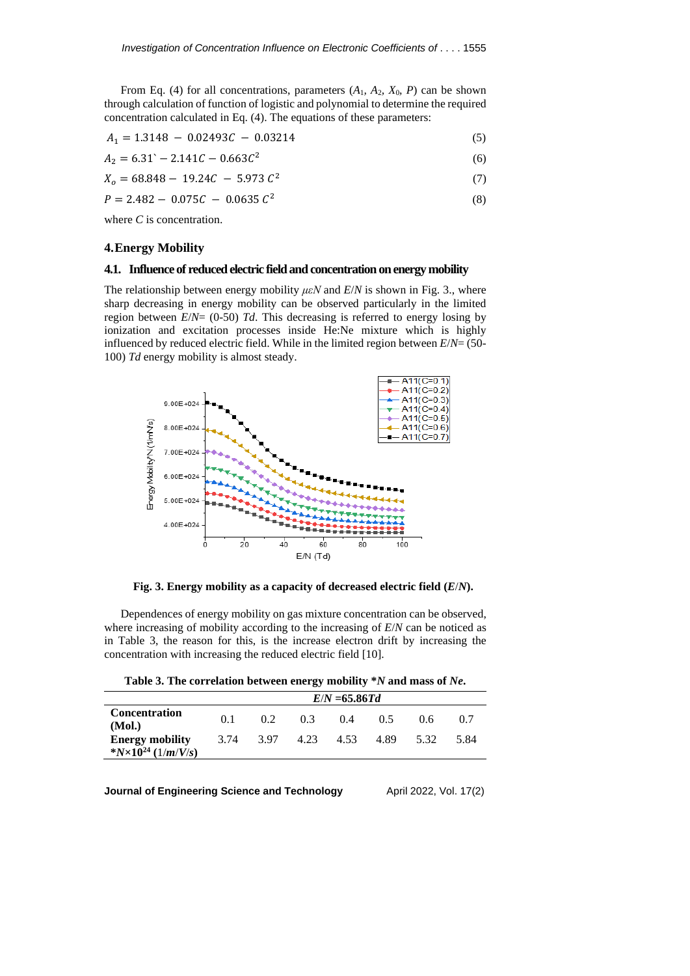From Eq. (4) for all concentrations, parameters  $(A_1, A_2, X_0, P)$  can be shown through calculation of function of logistic and polynomial to determine the required concentration calculated in Eq. (4). The equations of these parameters:

$$
A_1 = 1.3148 - 0.02493C - 0.03214 \tag{5}
$$

$$
A_2 = 6.31^{\circ} - 2.141C - 0.663C^2 \tag{6}
$$

$$
X_o = 68.848 - 19.24C - 5.973 C^2 \tag{7}
$$

$$
P = 2.482 - 0.075C - 0.0635 C^2
$$
 (8)

where *C* is concentration.

# **4.Energy Mobility**

#### **4.1. Influence of reducedelectric fieldand concentration onenergy mobility**

The relationship between energy mobility  $\mu \in N$  and  $E/N$  is shown in Fig. 3., where sharp decreasing in energy mobility can be observed particularly in the limited region between *E*/*N*= (0-50) *Td*. This decreasing is referred to energy losing by ionization and excitation processes inside He:Ne mixture which is highly influenced by reduced electric field. While in the limited region between *E*/*N*= (50- 100) *Td* energy mobility is almost steady.



**Fig. 3. Energy mobility as a capacity of decreased electric field (***E*/*N***).**

Dependences of energy mobility on gas mixture concentration can be observed, where increasing of mobility according to the increasing of *E*/*N* can be noticed as in Table 3, the reason for this, is the increase electron drift by increasing the concentration with increasing the reduced electric field [10].

|  | Table 3. The correlation between energy mobility *N and mass of Ne. |
|--|---------------------------------------------------------------------|
|--|---------------------------------------------------------------------|

|                                                          | $E/N = 65.86Td$ |      |      |      |      |      |      |
|----------------------------------------------------------|-----------------|------|------|------|------|------|------|
| <b>Concentration</b><br>(Mol.)                           | 0.1             | 02   | 0.3  | 0.4  | 05   | 0.6  | 0.7  |
| <b>Energy mobility</b><br>* $N \times 10^{24}$ (1/m/V/s) | 3.74            | 3.97 | 4.23 | 4.53 | 4.89 | 5.32 | 5.84 |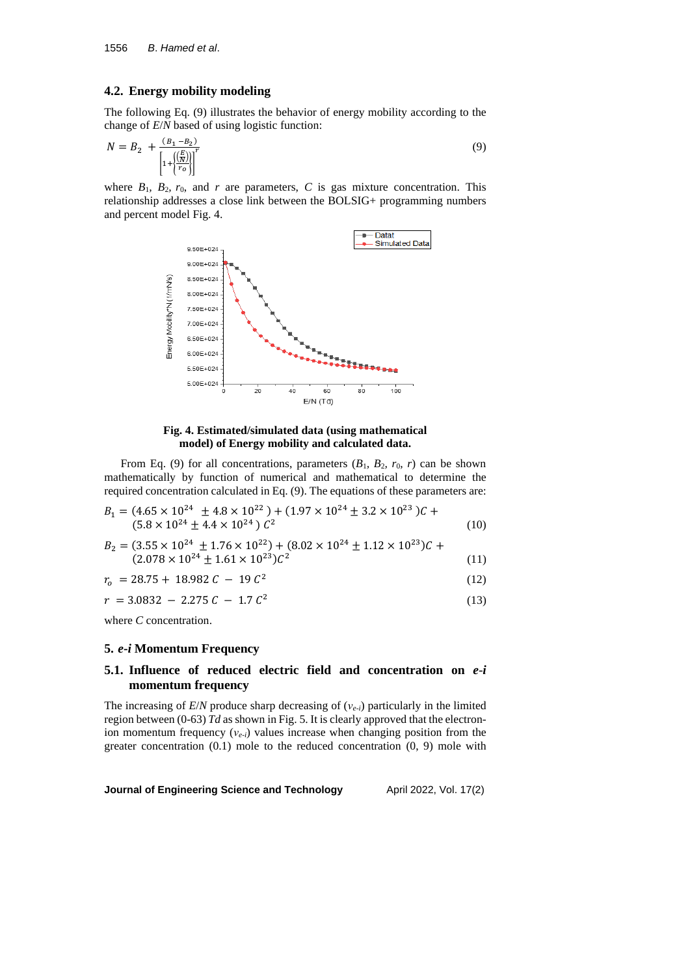### **4.2. Energy mobility modeling**

The following Eq. (9) illustrates the behavior of energy mobility according to the change of *E*/*N* based of using logistic function:

$$
N = B_2 + \frac{(B_1 - B_2)}{\left[1 + \left(\frac{E}{r_o}\right)\right]^r}
$$
\n(9)

where  $B_1$ ,  $B_2$ ,  $r_0$ , and  $r$  are parameters,  $C$  is gas mixture concentration. This relationship addresses a close link between the BOLSIG+ programming numbers and percent model Fig. 4.



## **Fig. 4. Estimated/simulated data (using mathematical model) of Energy mobility and calculated data.**

From Eq. (9) for all concentrations, parameters  $(B_1, B_2, r_0, r)$  can be shown mathematically by function of numerical and mathematical to determine the required concentration calculated in Eq. (9). The equations of these parameters are:

$$
B_1 = (4.65 \times 10^{24} \pm 4.8 \times 10^{22}) + (1.97 \times 10^{24} \pm 3.2 \times 10^{23})C + (5.8 \times 10^{24} \pm 4.4 \times 10^{24}) C^2
$$
\n(10)

$$
B_2 = (3.55 \times 10^{24} \pm 1.76 \times 10^{22}) + (8.02 \times 10^{24} \pm 1.12 \times 10^{23})C + (2.078 \times 10^{24} \pm 1.61 \times 10^{23})C^2
$$
\n(11)

$$
r_o = 28.75 + 18.982 C - 19 C^2 \tag{12}
$$

$$
r = 3.0832 - 2.275 C - 1.7 C2
$$
 (13)

where *C* concentration.

#### **5.** *e***-***i* **Momentum Frequency**

# **5.1. Influence of reduced electric field and concentration on** *e*-*i* **momentum frequency**

The increasing of *E*/*N* produce sharp decreasing of (*νe*-*i*) particularly in the limited region between (0-63) *Td* as shown in Fig. 5. It is clearly approved that the electronion momentum frequency (*ν<sub>e-i</sub>*) values increase when changing position from the greater concentration (0.1) mole to the reduced concentration (0, 9) mole with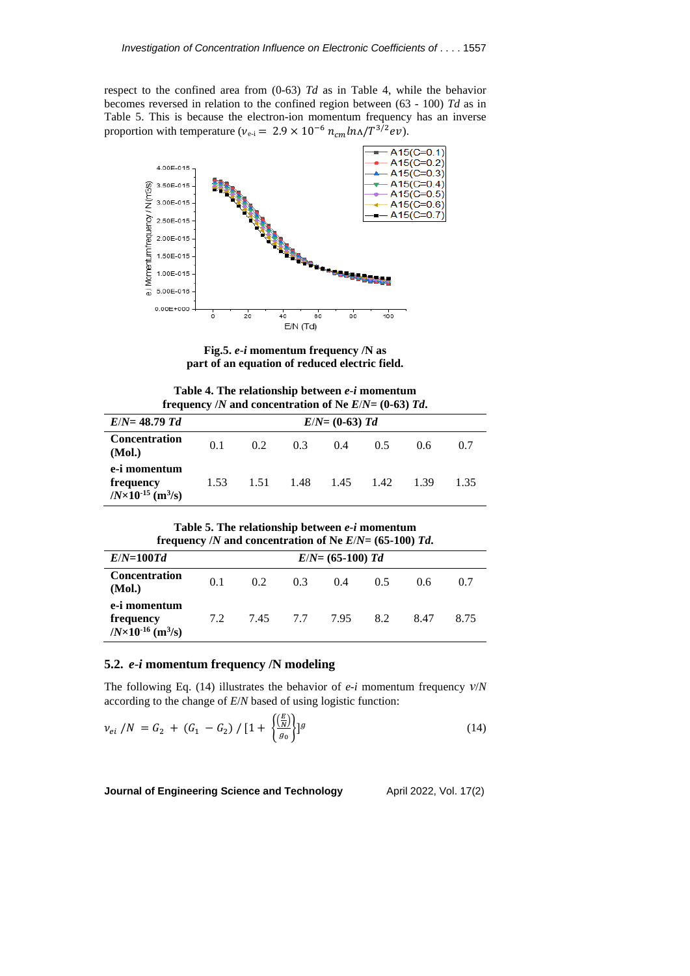respect to the confined area from (0-63) *Td* as in Table 4, while the behavior becomes reversed in relation to the confined region between (63 - 100) *Td* as in Table 5. This is because the electron-ion momentum frequency has an inverse proportion with temperature ( $v_{e-i} = 2.9 \times 10^{-6} n_{cm} ln\Delta/T^{3/2} ev$ ).



**Fig.5.** *e*-*i* **momentum frequency /N as part of an equation of reduced electric field.**

**Table 4. The relationship between** *e*-*i* **momentum frequency** */N* and concentration of Ne  $E/N = (0.63)$  *Td*.

| $E/N = 48.79$ Td                                                      | $E/N = (0-63) Td$ |                  |      |           |     |      |      |
|-----------------------------------------------------------------------|-------------------|------------------|------|-----------|-----|------|------|
| <b>Concentration</b><br>(Mol.)                                        | 0.1               | 0.2 <sub>1</sub> | 0.3  | 0.4       | 0.5 | 0.6  | 0.7  |
| e-i momentum<br>frequency<br>$/N \times 10^{-15}$ (m <sup>3</sup> /s) | 1.53              | 1.51             | 1.48 | 1.45 1.42 |     | 1.39 | 1.35 |

**Table 5. The relationship between** *e*-*i* **momentum frequency** */N* and concentration of Ne  $E/N = (65-100)$  *Td*.

| $E/N=100Td$                                                           |     |          |     | $E/N = (65-100)$ Td |     |      |      |
|-----------------------------------------------------------------------|-----|----------|-----|---------------------|-----|------|------|
| <b>Concentration</b><br>(Mol.)                                        | 0.1 | 0.2      | 0.3 | 0.4                 | 0.5 | 0.6  | 0.7  |
| e-i momentum<br>frequency<br>$/N \times 10^{-16}$ (m <sup>3</sup> /s) | 7.2 | 7.45 7.7 |     | 7.95                | 8.2 | 8.47 | 8.75 |

## **5.2.** *e*-*i* **momentum frequency /N modeling**

The following Eq. (14) illustrates the behavior of *e*-*i* momentum frequency *ν*/*N* according to the change of *E*/*N* based of using logistic function:

$$
\nu_{ei} / N = G_2 + (G_1 - G_2) / [1 + \left\{ \frac{\left(\frac{E}{N}\right)}{g_0} \right\}]^g
$$
\n(14)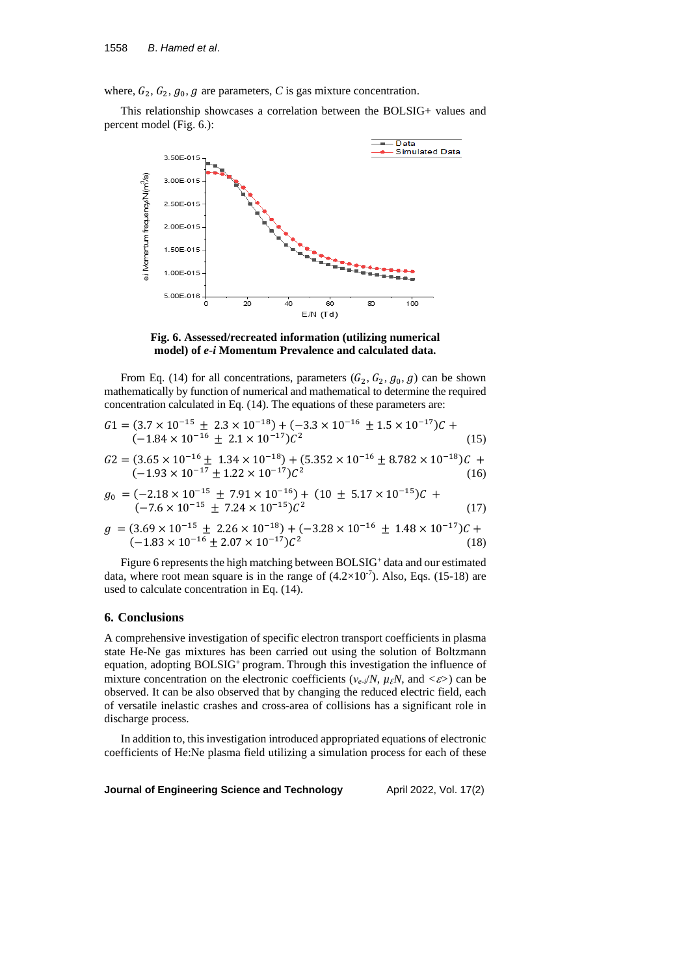where,  $G_2$ ,  $G_2$ ,  $g_0$ ,  $g$  are parameters,  $C$  is gas mixture concentration.

This relationship showcases a correlation between the BOLSIG+ values and percent model (Fig. 6.):



**Fig. 6. Assessed/recreated information (utilizing numerical model) of** *e*-*i* **Momentum Prevalence and calculated data.**

From Eq. (14) for all concentrations, parameters  $(G_2, G_2, g_0, g)$  can be shown mathematically by function of numerical and mathematical to determine the required concentration calculated in Eq. (14). The equations of these parameters are:

$$
G1 = (3.7 \times 10^{-15} \pm 2.3 \times 10^{-18}) + (-3.3 \times 10^{-16} \pm 1.5 \times 10^{-17})C + (-1.84 \times 10^{-16} \pm 2.1 \times 10^{-17})C^2
$$
\n(15)

$$
G2 = (3.65 \times 10^{-16} \pm 1.34 \times 10^{-18}) + (5.352 \times 10^{-16} \pm 8.782 \times 10^{-18})C + (-1.93 \times 10^{-17} \pm 1.22 \times 10^{-17})C^2
$$
\n(16)

$$
g_0 = (-2.18 \times 10^{-15} \pm 7.91 \times 10^{-16}) + (10 \pm 5.17 \times 10^{-15})C + (-7.6 \times 10^{-15} \pm 7.24 \times 10^{-15})C^2
$$
\n(17)

$$
g = (3.69 \times 10^{-15} \pm 2.26 \times 10^{-18}) + (-3.28 \times 10^{-16} \pm 1.48 \times 10^{-17})C + (-1.83 \times 10^{-16} \pm 2.07 \times 10^{-17})C^2
$$
\n(18)

Figure 6 represents the high matching between BOLSIG<sup>+</sup> data and our estimated data, where root mean square is in the range of  $(4.2 \times 10^{-7})$ . Also, Eqs. (15-18) are used to calculate concentration in Eq. (14).

#### **6. Conclusions**

A comprehensive investigation of specific electron transport coefficients in plasma state He-Ne gas mixtures has been carried out using the solution of Boltzmann equation, adopting BOLSIG<sup>+</sup> program. Through this investigation the influence of mixture concentration on the electronic coefficients ( $v_{e-i}/N$ ,  $\mu_{\ell}N$ , and  $\langle \varepsilon \rangle$ ) can be observed. It can be also observed that by changing the reduced electric field, each of versatile inelastic crashes and cross-area of collisions has a significant role in discharge process.

In addition to, this investigation introduced appropriated equations of electronic coefficients of He:Ne plasma field utilizing a simulation process for each of these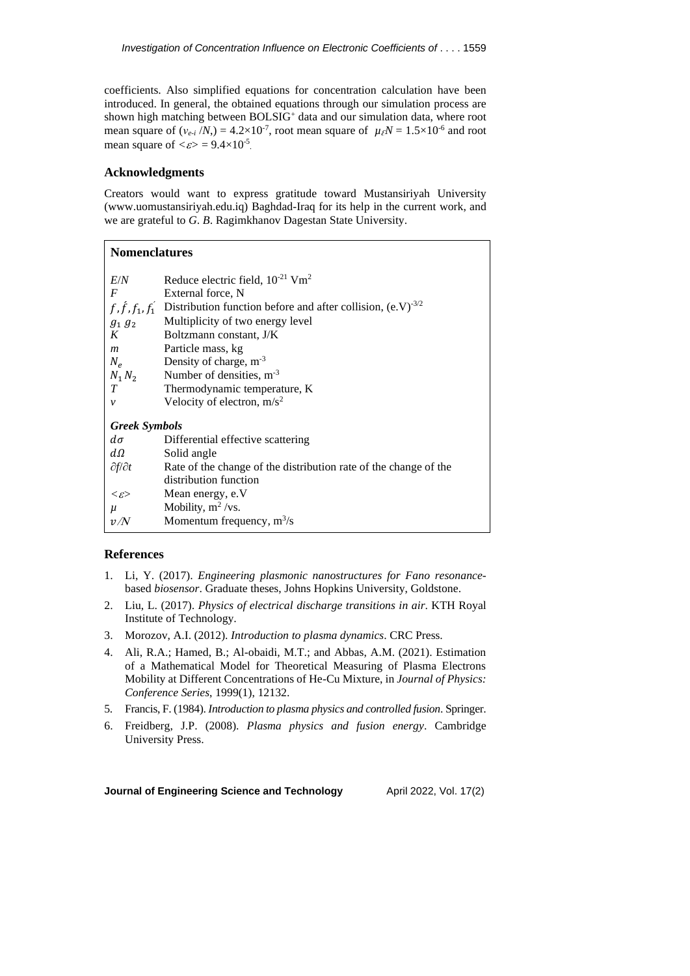coefficients. Also simplified equations for concentration calculation have been introduced. In general, the obtained equations through our simulation process are shown high matching between BOLSIG<sup>+</sup> data and our simulation data, where root mean square of  $(v_{e_i}/N) = 4.2 \times 10^{-7}$ , root mean square of  $\mu_\ell N = 1.5 \times 10^{-6}$  and root mean square of  $\langle \varepsilon \rangle = 9.4 \times 10^{-5}$ .

#### **Acknowledgments**

Creators would want to express gratitude toward Mustansiriyah University (www.uomustansiriyah.edu.iq) Baghdad-Iraq for its help in the current work, and we are grateful to *G*. *B*. Ragimkhanov Dagestan State University.

| <b>Nomenclatures</b>    |                                                                                           |
|-------------------------|-------------------------------------------------------------------------------------------|
| E/N                     | Reduce electric field, $10^{-21}$ Vm <sup>2</sup>                                         |
| $\bm{F}$                | External force, N                                                                         |
|                         | $f, f, f_1, f'_1$ Distribution function before and after collision, (e.V) <sup>-3/2</sup> |
| $g_1\,g_2$              | Multiplicity of two energy level                                                          |
| $K_{\mathcal{C}}$       | Boltzmann constant, J/K                                                                   |
| $\boldsymbol{m}$        | Particle mass, kg                                                                         |
| $N_e$                   | Density of charge, $m^{-3}$                                                               |
| $N_1 N_2$               | Number of densities, $m^{-3}$                                                             |
| T                       | Thermodynamic temperature, K                                                              |
| v                       | Velocity of electron, $m/s^2$                                                             |
| <b>Greek Symbols</b>    |                                                                                           |
| $d\sigma$               | Differential effective scattering                                                         |
| $d\Omega$               | Solid angle                                                                               |
| $\partial f/\partial t$ | Rate of the change of the distribution rate of the change of the                          |
|                         | distribution function                                                                     |
| $\ll\!\varepsilon\!\!>$ | Mean energy, e.V                                                                          |
| $\mu$                   | Mobility, $m^2$ /vs.                                                                      |
| v/N                     | Momentum frequency, $m^3/s$                                                               |

# **References**

- 1. Li, Y. (2017). *Engineering plasmonic nanostructures for Fano resonance*based *biosensor*. Graduate theses, Johns Hopkins University, Goldstone.
- 2. Liu, L. (2017). *Physics of electrical discharge transitions in air*. KTH Royal Institute of Technology.
- 3. Morozov, A.I. (2012). *Introduction to plasma dynamics*. CRC Press.
- 4. Ali, R.A.; Hamed, B.; Al-obaidi, M.T.; and Abbas, A.M. (2021). Estimation of a Mathematical Model for Theoretical Measuring of Plasma Electrons Mobility at Different Concentrations of He-Cu Mixture, in *Journal of Physics: Conference Series*, 1999(1), 12132.
- 5. Francis, F. (1984). *[Introduction](https://books.google.com/?id=WGbaBwAAQBAJ&printsec=frontcover&dq=editions:9PGss7GnX-MC#v=onepage&q&f=false) to plasma physics and controlled fusion*. Springer.
- 6. Freidberg, J.P. (2008). *[Plasma](https://books.google.com/books?id=Vyoe88GEVz4C) physics and fusion energy*. Cambridge University Press.